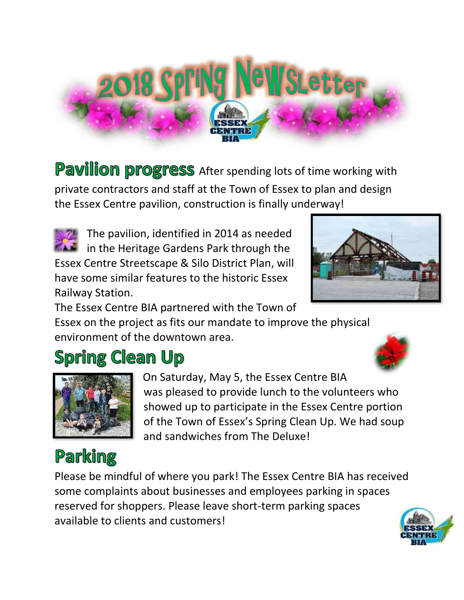

Pavilion progress After spending lots of time working with private contractors and staff at the Town of Essex to plan and design the Essex Centre pavilion, construction is finally underway!



The pavilion, identified in 2014 as needed  $\blacksquare$  in the Heritage Gardens Park through the Essex Centre Streetscape & Silo District Plan, will have some similar features to the historic Essex Railway Station.



The Essex Centre BIA partnered with the Town of Essex on the project as fits our mandate to improve the physical environment of the downtown area.

# **Spring Clean Up**



On Saturday, May 5, the Essex Centre BIA was pleased to provide lunch to the volunteers who showed up to participate in the Essex Centre portion of the Town of Essex's Spring Clean Up. We had soup and sandwiches from The Deluxe!

# Parking

Please be mindful of where you park! The Essex Centre BIA has received some complaints about businesses and employees parking in spaces reserved for shoppers. Please leave short-term parking spaces available to clients and customers!

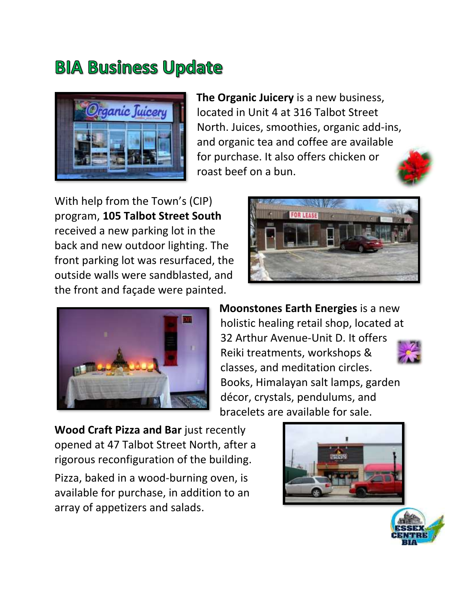# **BIA Business Update**



**The Organic Juicery** is a new business, located in Unit 4 at 316 Talbot Street North. Juices, smoothies, organic add-ins, and organic tea and coffee are available for purchase. It also offers chicken or roast beef on a bun.

With help from the Town's (CIP) program, **105 Talbot Street South** received a new parking lot in the back and new outdoor lighting. The front parking lot was resurfaced, the outside walls were sandblasted, and the front and façade were painted.





**Moonstones Earth Energies** is a new holistic healing retail shop, located at 32 Arthur Avenue-Unit D. It offers Reiki treatments, workshops & classes, and meditation circles. Books, Himalayan salt lamps, garden décor, crystals, pendulums, and bracelets are available for sale.



**Wood Craft Pizza and Bar** just recently opened at 47 Talbot Street North, after a rigorous reconfiguration of the building.

Pizza, baked in a wood-burning oven, is available for purchase, in addition to an array of appetizers and salads.



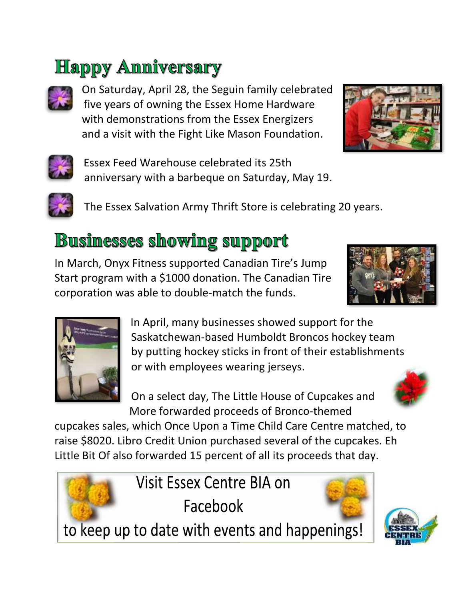# **Happy Anniversary**



On Saturday, April 28, the Seguin family celebrated five years of owning the Essex Home Hardware with demonstrations from the Essex Energizers and a visit with the Fight Like Mason Foundation.





Essex Feed Warehouse celebrated its 25th anniversary with a barbeque on Saturday, May 19.



The Essex Salvation Army Thrift Store is celebrating 20 years.

#### **Businesses showing support**

In March, Onyx Fitness supported Canadian Tire's Jump Start program with a \$1000 donation. The Canadian Tire corporation was able to double-match the funds.





In April, many businesses showed support for the Saskatchewan-based Humboldt Broncos hockey team by putting hockey sticks in front of their establishments or with employees wearing jerseys.

On a select day, The Little House of Cupcakes and More forwarded proceeds of Bronco-themed



cupcakes sales, which Once Upon a Time Child Care Centre matched, to raise \$8020. Libro Credit Union purchased several of the cupcakes. Eh Little Bit Of also forwarded 15 percent of all its proceeds that day.

> Visit Essex Centre BIA on Facebook

to keep up to date with events and happenings!